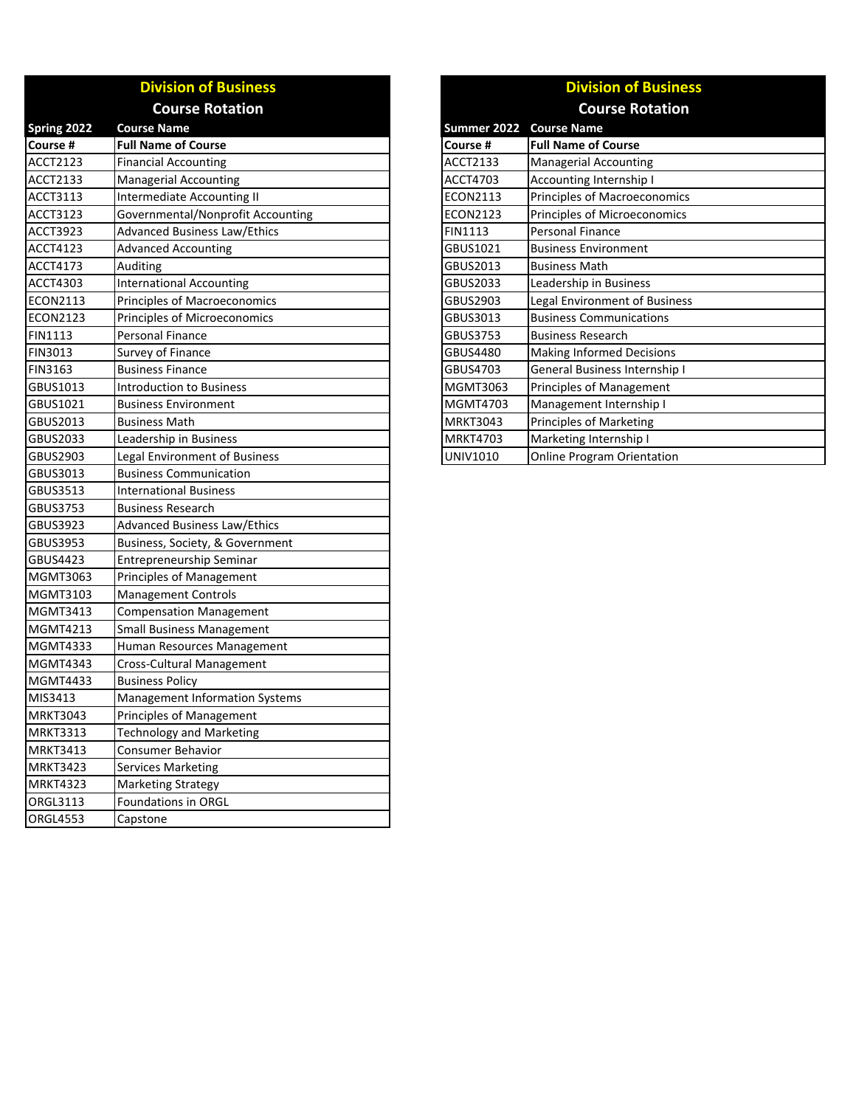|                 | <b>Division of Business</b>         | <b>Division of Busines</b> |                                   |
|-----------------|-------------------------------------|----------------------------|-----------------------------------|
|                 | <b>Course Rotation</b>              |                            | <b>Course Rotation</b>            |
| Spring 2022     | <b>Course Name</b>                  | Summer 2022                | <b>Course Name</b>                |
| Course #        | <b>Full Name of Course</b>          | Course #                   | <b>Full Name of Course</b>        |
| ACCT2123        | <b>Financial Accounting</b>         | ACCT2133                   | <b>Managerial Accounting</b>      |
| ACCT2133        | <b>Managerial Accounting</b>        | ACCT4703                   | Accounting Internship I           |
| ACCT3113        | Intermediate Accounting II          | ECON2113                   | Principles of Macroeconomics      |
| ACCT3123        | Governmental/Nonprofit Accounting   | ECON2123                   | Principles of Microeconomics      |
| ACCT3923        | <b>Advanced Business Law/Ethics</b> | <b>FIN1113</b>             | Personal Finance                  |
| ACCT4123        | <b>Advanced Accounting</b>          | GBUS1021                   | <b>Business Environment</b>       |
| ACCT4173        | Auditing                            | GBUS2013                   | <b>Business Math</b>              |
| ACCT4303        | <b>International Accounting</b>     | GBUS2033                   | Leadership in Business            |
| ECON2113        | Principles of Macroeconomics        | GBUS2903                   | Legal Environment of Business     |
| ECON2123        | Principles of Microeconomics        | GBUS3013                   | <b>Business Communications</b>    |
| FIN1113         | Personal Finance                    | <b>GBUS3753</b>            | <b>Business Research</b>          |
| FIN3013         | Survey of Finance                   | GBUS4480                   | <b>Making Informed Decisions</b>  |
| FIN3163         | <b>Business Finance</b>             | GBUS4703                   | General Business Internship I     |
| GBUS1013        | <b>Introduction to Business</b>     | MGMT3063                   | Principles of Management          |
| GBUS1021        | <b>Business Environment</b>         | MGMT4703                   | Management Internship I           |
| GBUS2013        | <b>Business Math</b>                | <b>MRKT3043</b>            | <b>Principles of Marketing</b>    |
| GBUS2033        | Leadership in Business              | <b>MRKT4703</b>            | Marketing Internship I            |
| GBUS2903        | Legal Environment of Business       | UNIV1010                   | <b>Online Program Orientation</b> |
| GBUS3013        | <b>Business Communication</b>       |                            |                                   |
| GBUS3513        | <b>International Business</b>       |                            |                                   |
| GBUS3753        | <b>Business Research</b>            |                            |                                   |
| GBUS3923        | <b>Advanced Business Law/Ethics</b> |                            |                                   |
| GBUS3953        | Business, Society, & Government     |                            |                                   |
| GBUS4423        | Entrepreneurship Seminar            |                            |                                   |
| MGMT3063        | Principles of Management            |                            |                                   |
| MGMT3103        | <b>Management Controls</b>          |                            |                                   |
| MGMT3413        | <b>Compensation Management</b>      |                            |                                   |
| MGMT4213        | <b>Small Business Management</b>    |                            |                                   |
| MGMT4333        | Human Resources Management          |                            |                                   |
| MGMT4343        | <b>Cross-Cultural Management</b>    |                            |                                   |
| MGMT4433        | <b>Business Policy</b>              |                            |                                   |
| MIS3413         | Management Information Systems      |                            |                                   |
| <b>MRKT3043</b> | Principles of Management            |                            |                                   |
| <b>MRKT3313</b> | <b>Technology and Marketing</b>     |                            |                                   |
| <b>MRKT3413</b> | <b>Consumer Behavior</b>            |                            |                                   |
| MRKT3423        | <b>Services Marketing</b>           |                            |                                   |
| MRKT4323        | <b>Marketing Strategy</b>           |                            |                                   |
| ORGL3113        | Foundations in ORGL                 |                            |                                   |
| <b>ORGL4553</b> | Capstone                            |                            |                                   |

|                 | <b>Division of Business</b>       |  |  |  |
|-----------------|-----------------------------------|--|--|--|
|                 | <b>Course Rotation</b>            |  |  |  |
| ummer 2022      | <b>Course Name</b>                |  |  |  |
| `ourse #        | <b>Full Name of Course</b>        |  |  |  |
| <b>CCT2133</b>  | <b>Managerial Accounting</b>      |  |  |  |
| <b>CCT4703</b>  | Accounting Internship I           |  |  |  |
| CON2113         | Principles of Macroeconomics      |  |  |  |
| CON2123         | Principles of Microeconomics      |  |  |  |
| IN1113          | Personal Finance                  |  |  |  |
| <b>BUS1021</b>  | <b>Business Environment</b>       |  |  |  |
| <b>BUS2013</b>  | <b>Business Math</b>              |  |  |  |
| <b>BUS2033</b>  | Leadership in Business            |  |  |  |
| <b>BUS2903</b>  | Legal Environment of Business     |  |  |  |
| <b>BUS3013</b>  | <b>Business Communications</b>    |  |  |  |
| <b>BUS3753</b>  | <b>Business Research</b>          |  |  |  |
| <b>BUS4480</b>  | <b>Making Informed Decisions</b>  |  |  |  |
| <b>BUS4703</b>  | General Business Internship I     |  |  |  |
| AGMT3063        | <b>Principles of Management</b>   |  |  |  |
| <b>AGMT4703</b> | Management Internship I           |  |  |  |
| <b>ARKT3043</b> | Principles of Marketing           |  |  |  |
| ARKT4703        | Marketing Internship I            |  |  |  |
| JNIV1010        | <b>Online Program Orientation</b> |  |  |  |